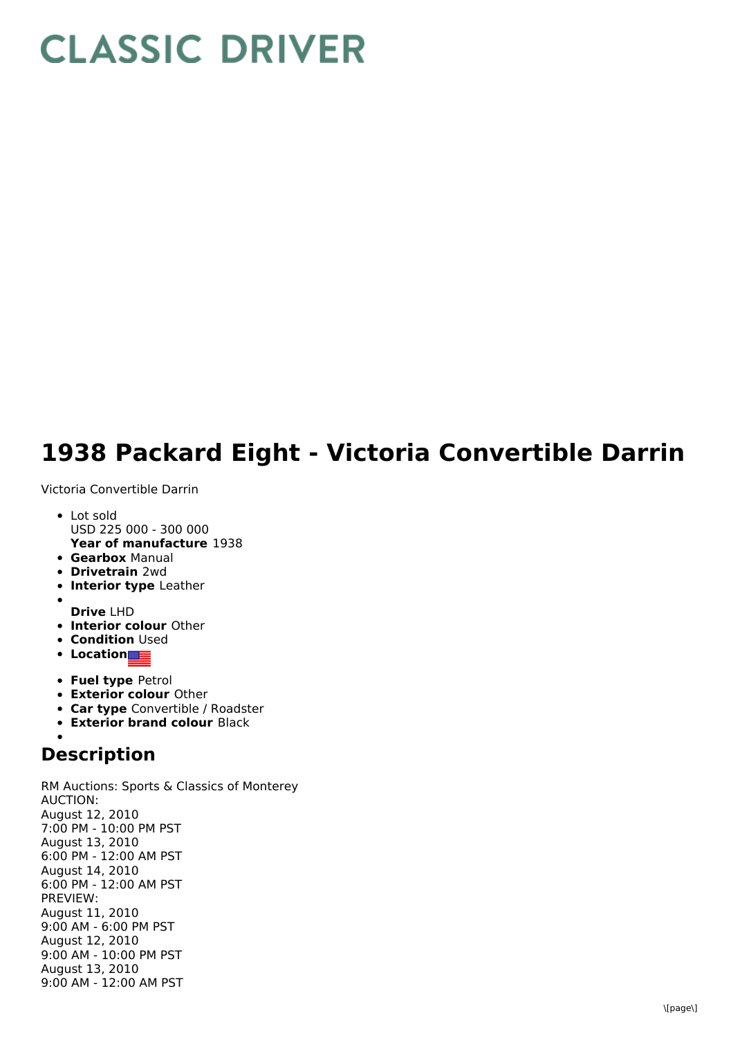## **CLASSIC DRIVER**

## **1938 Packard Eight - Victoria Convertible Darrin**

Victoria Convertible Darrin

- **Year of manufacture** 1938 • Lot sold USD 225 000 - 300 000
- **Gearbox** Manual
- **Drivetrain** 2wd
- **Interior type** Leather
- **Drive** LHD
- **Interior colour** Other
- **Condition Used**
- **•** Location
- **Fuel type** Petrol
- **Exterior colour** Other
- **Car type** Convertible / Roadster
- **Exterior brand colour** Black

## **Description**

RM Auctions: Sports & Classics of Monterey AUCTION: August 12, 2010 7:00 PM - 10:00 PM PST August 13, 2010 6:00 PM - 12:00 AM PST August 14, 2010 6:00 PM - 12:00 AM PST PREVIEW: August 11, 2010 9:00 AM - 6:00 PM PST August 12, 2010 9:00 AM - 10:00 PM PST August 13, 2010 9:00 AM - 12:00 AM PST